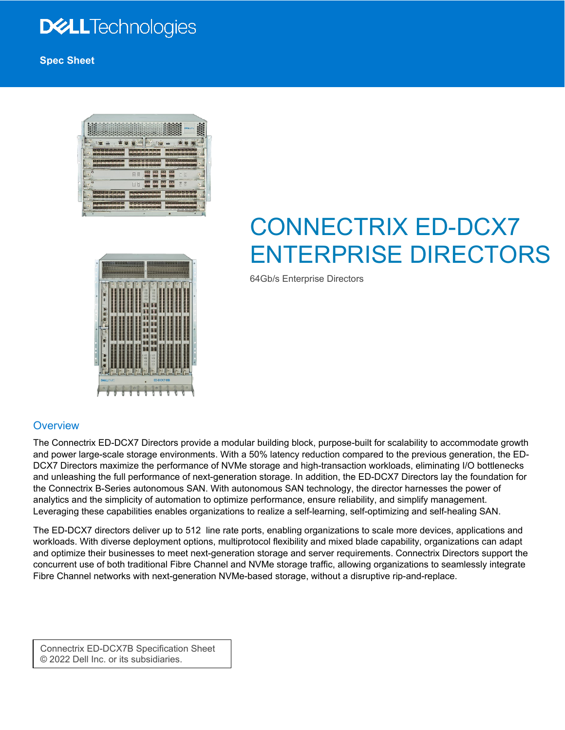### **DELL**Technologies

**Spec Sheet**





# CONNECTRIX ED-DCX7 ENTERPRISE DIRECTORS

64Gb/s Enterprise Directors

#### **Overview**

The Connectrix ED-DCX7 Directors provide a modular building block, purpose-built for scalability to accommodate growth and power large-scale storage environments. With a 50% latency reduction compared to the previous generation, the ED-DCX7 Directors maximize the performance of NVMe storage and high-transaction workloads, eliminating I/O bottlenecks and unleashing the full performance of next-generation storage. In addition, the ED-DCX7 Directors lay the foundation for the Connectrix B-Series autonomous SAN. With autonomous SAN technology, the director harnesses the power of analytics and the simplicity of automation to optimize performance, ensure reliability, and simplify management. Leveraging these capabilities enables organizations to realize a self-learning, self-optimizing and self-healing SAN.

The ED-DCX7 directors deliver up to 512 line rate ports, enabling organizations to scale more devices, applications and workloads. With diverse deployment options, multiprotocol flexibility and mixed blade capability, organizations can adapt and optimize their businesses to meet next-generation storage and server requirements. Connectrix Directors support the concurrent use of both traditional Fibre Channel and NVMe storage traffic, allowing organizations to seamlessly integrate Fibre Channel networks with next-generation NVMe-based storage, without a disruptive rip-and-replace.

Connectrix ED-DCX7B Specification Sheet © 2022 Dell Inc. or its subsidiaries.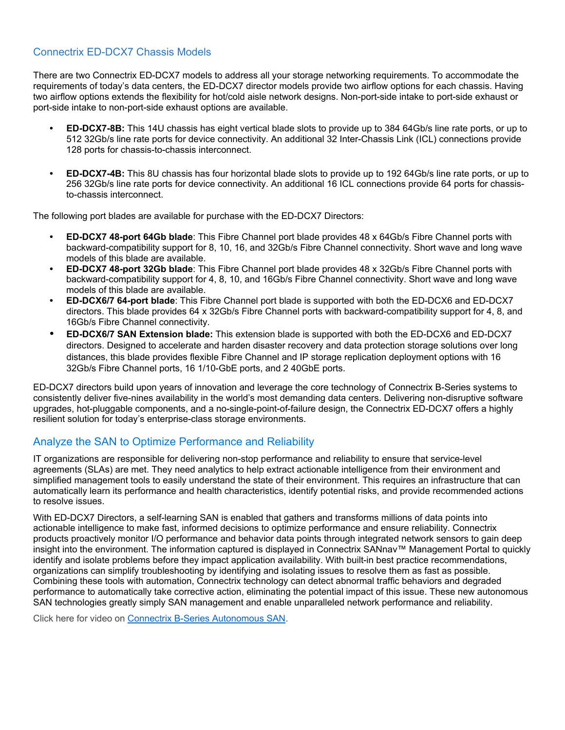#### Connectrix ED-DCX7 Chassis Models

There are two Connectrix ED-DCX7 models to address all your storage networking requirements. To accommodate the requirements of today's data centers, the ED-DCX7 director models provide two airflow options for each chassis. Having two airflow options extends the flexibility for hot/cold aisle network designs. Non-port-side intake to port-side exhaust or port-side intake to non-port-side exhaust options are available.

- **ED-DCX7-8B:** This 14U chassis has eight vertical blade slots to provide up to 384 64Gb/s line rate ports, or up to 512 32Gb/s line rate ports for device connectivity. An additional 32 Inter-Chassis Link (ICL) connections provide 128 ports for chassis-to-chassis interconnect.
- **ED-DCX7-4B:** This 8U chassis has four horizontal blade slots to provide up to 192 64Gb/s line rate ports, or up to 256 32Gb/s line rate ports for device connectivity. An additional 16 ICL connections provide 64 ports for chassisto-chassis interconnect.

The following port blades are available for purchase with the ED-DCX7 Directors:

- **ED-DCX7 48-port 64Gb blade**: This Fibre Channel port blade provides 48 x 64Gb/s Fibre Channel ports with backward-compatibility support for 8, 10, 16, and 32Gb/s Fibre Channel connectivity. Short wave and long wave models of this blade are available.
- **ED-DCX7 48-port 32Gb blade**: This Fibre Channel port blade provides 48 x 32Gb/s Fibre Channel ports with backward-compatibility support for 4, 8, 10, and 16Gb/s Fibre Channel connectivity. Short wave and long wave models of this blade are available.
- **ED-DCX6/7 64-port blade**: This Fibre Channel port blade is supported with both the ED-DCX6 and ED-DCX7 directors. This blade provides 64 x 32Gb/s Fibre Channel ports with backward-compatibility support for 4, 8, and 16Gb/s Fibre Channel connectivity.
- **ED-DCX6/7 SAN Extension blade:** This extension blade is supported with both the ED-DCX6 and ED-DCX7 directors. Designed to accelerate and harden disaster recovery and data protection storage solutions over long distances, this blade provides flexible Fibre Channel and IP storage replication deployment options with 16 32Gb/s Fibre Channel ports, 16 1/10-GbE ports, and 2 40GbE ports.

ED-DCX7 directors build upon years of innovation and leverage the core technology of Connectrix B-Series systems to consistently deliver five-nines availability in the world's most demanding data centers. Delivering non-disruptive software upgrades, hot-pluggable components, and a no-single-point-of-failure design, the Connectrix ED-DCX7 offers a highly resilient solution for today's enterprise-class storage environments.

#### Analyze the SAN to Optimize Performance and Reliability

IT organizations are responsible for delivering non-stop performance and reliability to ensure that service-level agreements (SLAs) are met. They need analytics to help extract actionable intelligence from their environment and simplified management tools to easily understand the state of their environment. This requires an infrastructure that can automatically learn its performance and health characteristics, identify potential risks, and provide recommended actions to resolve issues.

With ED-DCX7 Directors, a self-learning SAN is enabled that gathers and transforms millions of data points into actionable intelligence to make fast, informed decisions to optimize performance and ensure reliability. Connectrix products proactively monitor I/O performance and behavior data points through integrated network sensors to gain deep insight into the environment. The information captured is displayed in Connectrix SANnav™ Management Portal to quickly identify and isolate problems before they impact application availability. With built-in best practice recommendations, organizations can simplify troubleshooting by identifying and isolating issues to resolve them as fast as possible. Combining these tools with automation, Connectrix technology can detect abnormal traffic behaviors and degraded performance to automatically take corrective action, eliminating the potential impact of this issue. These new autonomous SAN technologies greatly simply SAN management and enable unparalleled network performance and reliability.

Click here for video on [Connectrix B-Series Autonomous SAN.](https://www.delltechnologies.com/resources/en-us/asset/presentations/products/networking/connectrix-b-series-autonomous-san-video.mp4)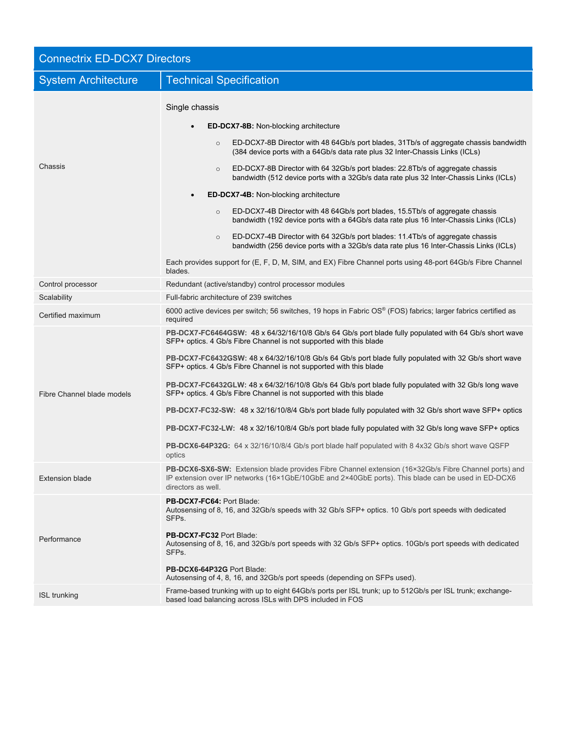| <b>Connectrix ED-DCX7 Directors</b> |                                                                                                                                                                                                                                                                                                                                                                                                                                                                                                                                                                                                                                                                                                                                                                                                                                                                                                                                                                                    |  |
|-------------------------------------|------------------------------------------------------------------------------------------------------------------------------------------------------------------------------------------------------------------------------------------------------------------------------------------------------------------------------------------------------------------------------------------------------------------------------------------------------------------------------------------------------------------------------------------------------------------------------------------------------------------------------------------------------------------------------------------------------------------------------------------------------------------------------------------------------------------------------------------------------------------------------------------------------------------------------------------------------------------------------------|--|
| <b>System Architecture</b>          | <b>Technical Specification</b>                                                                                                                                                                                                                                                                                                                                                                                                                                                                                                                                                                                                                                                                                                                                                                                                                                                                                                                                                     |  |
| Chassis                             | Single chassis<br><b>ED-DCX7-8B:</b> Non-blocking architecture<br>ED-DCX7-8B Director with 48 64Gb/s port blades, 31Tb/s of aggregate chassis bandwidth<br>$\circ$<br>(384 device ports with a 64Gb/s data rate plus 32 Inter-Chassis Links (ICLs)<br>ED-DCX7-8B Director with 64 32Gb/s port blades: 22.8Tb/s of aggregate chassis<br>$\circ$<br>bandwidth (512 device ports with a 32Gb/s data rate plus 32 Inter-Chassis Links (ICLs)<br><b>ED-DCX7-4B:</b> Non-blocking architecture<br>ED-DCX7-4B Director with 48 64Gb/s port blades, 15.5Tb/s of aggregate chassis<br>$\circ$<br>bandwidth (192 device ports with a 64Gb/s data rate plus 16 Inter-Chassis Links (ICLs)<br>ED-DCX7-4B Director with 64 32Gb/s port blades: 11.4Tb/s of aggregate chassis<br>$\circ$<br>bandwidth (256 device ports with a 32Gb/s data rate plus 16 Inter-Chassis Links (ICLs)<br>Each provides support for (E, F, D, M, SIM, and EX) Fibre Channel ports using 48-port 64Gb/s Fibre Channel |  |
|                                     | blades.                                                                                                                                                                                                                                                                                                                                                                                                                                                                                                                                                                                                                                                                                                                                                                                                                                                                                                                                                                            |  |
| Control processor                   | Redundant (active/standby) control processor modules                                                                                                                                                                                                                                                                                                                                                                                                                                                                                                                                                                                                                                                                                                                                                                                                                                                                                                                               |  |
| Scalability                         | Full-fabric architecture of 239 switches                                                                                                                                                                                                                                                                                                                                                                                                                                                                                                                                                                                                                                                                                                                                                                                                                                                                                                                                           |  |
| Certified maximum                   | 6000 active devices per switch; 56 switches, 19 hops in Fabric OS® (FOS) fabrics; larger fabrics certified as<br>required                                                                                                                                                                                                                                                                                                                                                                                                                                                                                                                                                                                                                                                                                                                                                                                                                                                          |  |
| Fibre Channel blade models          | PB-DCX7-FC6464GSW: 48 x 64/32/16/10/8 Gb/s 64 Gb/s port blade fully populated with 64 Gb/s short wave<br>SFP+ optics. 4 Gb/s Fibre Channel is not supported with this blade<br>PB-DCX7-FC6432GSW: 48 x 64/32/16/10/8 Gb/s 64 Gb/s port blade fully populated with 32 Gb/s short wave<br>SFP+ optics. 4 Gb/s Fibre Channel is not supported with this blade<br>PB-DCX7-FC6432GLW: 48 x 64/32/16/10/8 Gb/s 64 Gb/s port blade fully populated with 32 Gb/s long wave<br>SFP+ optics. 4 Gb/s Fibre Channel is not supported with this blade<br>PB-DCX7-FC32-SW: 48 x 32/16/10/8/4 Gb/s port blade fully populated with 32 Gb/s short wave SFP+ optics<br>PB-DCX7-FC32-LW: 48 x 32/16/10/8/4 Gb/s port blade fully populated with 32 Gb/s long wave SFP+ optics<br><b>PB-DCX6-64P32G:</b> 64 x 32/16/10/8/4 Gb/s port blade half populated with 8 4x32 Gb/s short wave QSFP<br>optics                                                                                                  |  |
| <b>Extension blade</b>              | PB-DCX6-SX6-SW: Extension blade provides Fibre Channel extension (16×32Gb/s Fibre Channel ports) and<br>IP extension over IP networks (16×1GbE/10GbE and 2×40GbE ports). This blade can be used in ED-DCX6<br>directors as well.                                                                                                                                                                                                                                                                                                                                                                                                                                                                                                                                                                                                                                                                                                                                                   |  |
| Performance<br><b>ISL trunking</b>  | <b>PB-DCX7-FC64: Port Blade:</b><br>Autosensing of 8, 16, and 32Gb/s speeds with 32 Gb/s SFP+ optics. 10 Gb/s port speeds with dedicated<br>SFPs.<br>PB-DCX7-FC32 Port Blade:<br>Autosensing of 8, 16, and 32Gb/s port speeds with 32 Gb/s SFP+ optics. 10Gb/s port speeds with dedicated<br>SFPs.<br>PB-DCX6-64P32G Port Blade:<br>Autosensing of 4, 8, 16, and 32Gb/s port speeds (depending on SFPs used).<br>Frame-based trunking with up to eight 64Gb/s ports per ISL trunk; up to 512Gb/s per ISL trunk; exchange-                                                                                                                                                                                                                                                                                                                                                                                                                                                          |  |
|                                     | based load balancing across ISLs with DPS included in FOS                                                                                                                                                                                                                                                                                                                                                                                                                                                                                                                                                                                                                                                                                                                                                                                                                                                                                                                          |  |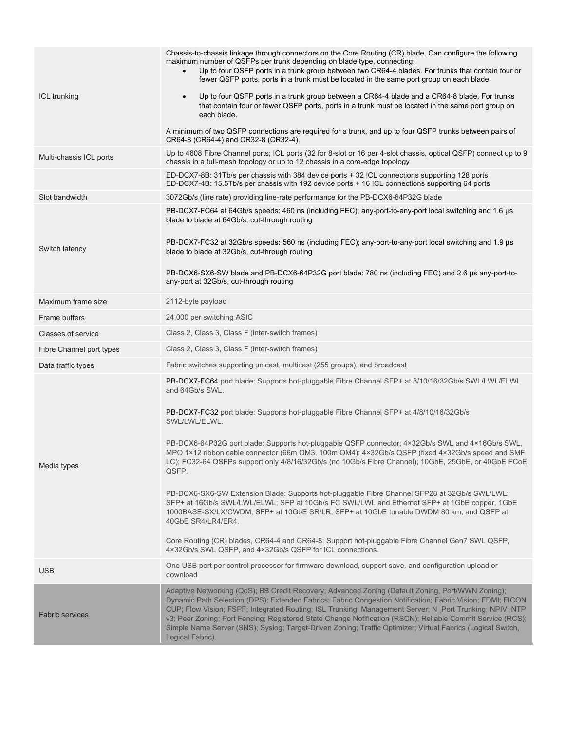|                          | Chassis-to-chassis linkage through connectors on the Core Routing (CR) blade. Can configure the following<br>maximum number of QSFPs per trunk depending on blade type, connecting:<br>Up to four QSFP ports in a trunk group between two CR64-4 blades. For trunks that contain four or<br>$\bullet$<br>fewer QSFP ports, ports in a trunk must be located in the same port group on each blade.                                                                                                                                                                           |
|--------------------------|-----------------------------------------------------------------------------------------------------------------------------------------------------------------------------------------------------------------------------------------------------------------------------------------------------------------------------------------------------------------------------------------------------------------------------------------------------------------------------------------------------------------------------------------------------------------------------|
| ICL trunking             | Up to four QSFP ports in a trunk group between a CR64-4 blade and a CR64-8 blade. For trunks<br>$\bullet$<br>that contain four or fewer QSFP ports, ports in a trunk must be located in the same port group on<br>each blade.                                                                                                                                                                                                                                                                                                                                               |
|                          | A minimum of two QSFP connections are required for a trunk, and up to four QSFP trunks between pairs of<br>CR64-8 (CR64-4) and CR32-8 (CR32-4).                                                                                                                                                                                                                                                                                                                                                                                                                             |
| Multi-chassis ICL ports  | Up to 4608 Fibre Channel ports; ICL ports (32 for 8-slot or 16 per 4-slot chassis, optical QSFP) connect up to 9<br>chassis in a full-mesh topology or up to 12 chassis in a core-edge topology                                                                                                                                                                                                                                                                                                                                                                             |
|                          | ED-DCX7-8B: 31Tb/s per chassis with 384 device ports + 32 ICL connections supporting 128 ports<br>ED-DCX7-4B: 15.5Tb/s per chassis with 192 device ports + 16 ICL connections supporting 64 ports                                                                                                                                                                                                                                                                                                                                                                           |
| Slot bandwidth           | 3072Gb/s (line rate) providing line-rate performance for the PB-DCX6-64P32G blade                                                                                                                                                                                                                                                                                                                                                                                                                                                                                           |
|                          | PB-DCX7-FC64 at 64Gb/s speeds: 460 ns (including FEC); any-port-to-any-port local switching and 1.6 µs<br>blade to blade at 64Gb/s, cut-through routing                                                                                                                                                                                                                                                                                                                                                                                                                     |
| Switch latency           | PB-DCX7-FC32 at 32Gb/s speeds: 560 ns (including FEC); any-port-to-any-port local switching and 1.9 µs<br>blade to blade at 32Gb/s, cut-through routing                                                                                                                                                                                                                                                                                                                                                                                                                     |
|                          | PB-DCX6-SX6-SW blade and PB-DCX6-64P32G port blade: 780 ns (including FEC) and 2.6 us any-port-to-<br>any-port at 32Gb/s, cut-through routing                                                                                                                                                                                                                                                                                                                                                                                                                               |
| Maximum frame size       | 2112-byte payload                                                                                                                                                                                                                                                                                                                                                                                                                                                                                                                                                           |
| Frame buffers            | 24,000 per switching ASIC                                                                                                                                                                                                                                                                                                                                                                                                                                                                                                                                                   |
| Classes of service       | Class 2, Class 3, Class F (inter-switch frames)                                                                                                                                                                                                                                                                                                                                                                                                                                                                                                                             |
| Fibre Channel port types | Class 2, Class 3, Class F (inter-switch frames)                                                                                                                                                                                                                                                                                                                                                                                                                                                                                                                             |
| Data traffic types       | Fabric switches supporting unicast, multicast (255 groups), and broadcast                                                                                                                                                                                                                                                                                                                                                                                                                                                                                                   |
| Media types              | PB-DCX7-FC64 port blade: Supports hot-pluggable Fibre Channel SFP+ at 8/10/16/32Gb/s SWL/LWL/ELWL<br>and 64Gb/s SWL.                                                                                                                                                                                                                                                                                                                                                                                                                                                        |
|                          | PB-DCX7-FC32 port blade: Supports hot-pluggable Fibre Channel SFP+ at 4/8/10/16/32Gb/s<br>SWL/LWL/ELWL.                                                                                                                                                                                                                                                                                                                                                                                                                                                                     |
|                          | PB-DCX6-64P32G port blade: Supports hot-pluggable QSFP connector; 4×32Gb/s SWL and 4×16Gb/s SWL,<br>MPO 1×12 ribbon cable connector (66m OM3, 100m OM4); 4×32Gb/s QSFP (fixed 4×32Gb/s speed and SMF<br>LC); FC32-64 QSFPs support only 4/8/16/32Gb/s (no 10Gb/s Fibre Channel); 10GbE, 25GbE, or 40GbE FCoE<br>QSFP.                                                                                                                                                                                                                                                       |
|                          | PB-DCX6-SX6-SW Extension Blade: Supports hot-pluggable Fibre Channel SFP28 at 32Gb/s SWL/LWL;<br>SFP+ at 16Gb/s SWL/LWL/ELWL; SFP at 10Gb/s FC SWL/LWL and Ethernet SFP+ at 1GbE copper, 1GbE<br>1000BASE-SX/LX/CWDM, SFP+ at 10GbE SR/LR; SFP+ at 10GbE tunable DWDM 80 km, and QSFP at<br>40GbE SR4/LR4/ER4.                                                                                                                                                                                                                                                              |
|                          | Core Routing (CR) blades, CR64-4 and CR64-8: Support hot-pluggable Fibre Channel Gen7 SWL QSFP,<br>4×32Gb/s SWL QSFP, and 4×32Gb/s QSFP for ICL connections.                                                                                                                                                                                                                                                                                                                                                                                                                |
| <b>USB</b>               | One USB port per control processor for firmware download, support save, and configuration upload or<br>download                                                                                                                                                                                                                                                                                                                                                                                                                                                             |
| <b>Fabric services</b>   | Adaptive Networking (QoS); BB Credit Recovery; Advanced Zoning (Default Zoning, Port/WWN Zoning);<br>Dynamic Path Selection (DPS); Extended Fabrics; Fabric Congestion Notification; Fabric Vision; FDMI; FICON<br>CUP; Flow Vision; FSPF; Integrated Routing; ISL Trunking; Management Server; N_Port Trunking; NPIV; NTP<br>v3; Peer Zoning; Port Fencing; Registered State Change Notification (RSCN); Reliable Commit Service (RCS);<br>Simple Name Server (SNS); Syslog; Target-Driven Zoning; Traffic Optimizer; Virtual Fabrics (Logical Switch,<br>Logical Fabric). |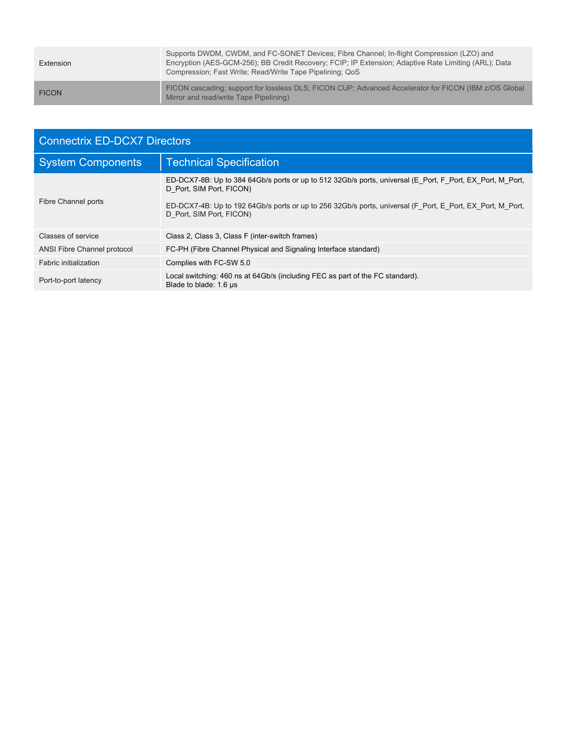| Extension    | Supports DWDM, CWDM, and FC-SONET Devices; Fibre Channel; In-flight Compression (LZO) and<br>Encryption (AES-GCM-256); BB Credit Recovery; FCIP; IP Extension; Adaptive Rate Limiting (ARL); Data<br>Compression; Fast Write; Read/Write Tape Pipelining; QoS |
|--------------|---------------------------------------------------------------------------------------------------------------------------------------------------------------------------------------------------------------------------------------------------------------|
| <b>FICON</b> | FICON cascading; support for lossless DLS; FICON CUP; Advanced Accelerator for FICON (IBM z/OS Global<br>Mirror and read/write Tape Pipelining)                                                                                                               |

| <b>Connectrix ED-DCX7 Directors</b> |                                                                                                                                                                                                                                                                                |  |
|-------------------------------------|--------------------------------------------------------------------------------------------------------------------------------------------------------------------------------------------------------------------------------------------------------------------------------|--|
| <b>System Components</b>            | <b>Technical Specification</b>                                                                                                                                                                                                                                                 |  |
| Fibre Channel ports                 | ED-DCX7-8B: Up to 384 64Gb/s ports or up to 512 32Gb/s ports, universal (E Port, F Port, EX Port, M Port,<br>D Port, SIM Port, FICON)<br>ED-DCX7-4B: Up to 192 64Gb/s ports or up to 256 32Gb/s ports, universal (F Port, E Port, EX Port, M Port,<br>D Port, SIM Port, FICON) |  |
| Classes of service                  | Class 2, Class 3, Class F (inter-switch frames)                                                                                                                                                                                                                                |  |
| ANSI Fibre Channel protocol         | FC-PH (Fibre Channel Physical and Signaling Interface standard)                                                                                                                                                                                                                |  |
| Fabric initialization               | Complies with FC-SW 5.0                                                                                                                                                                                                                                                        |  |
| Port-to-port latency                | Local switching: 460 ns at 64Gb/s (including FEC as part of the FC standard).<br>Blade to blade: 1.6 µs                                                                                                                                                                        |  |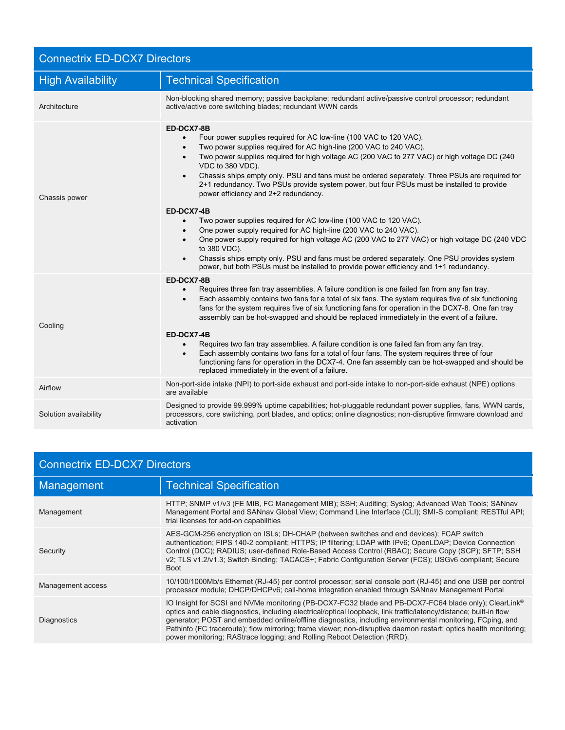| <b>Connectrix ED-DCX7 Directors</b> |                                                                                                                                                                                                                                                                                                                                                                                                                                                                                                                                                                                                                                                                                                                                                                                                                                             |  |
|-------------------------------------|---------------------------------------------------------------------------------------------------------------------------------------------------------------------------------------------------------------------------------------------------------------------------------------------------------------------------------------------------------------------------------------------------------------------------------------------------------------------------------------------------------------------------------------------------------------------------------------------------------------------------------------------------------------------------------------------------------------------------------------------------------------------------------------------------------------------------------------------|--|
| <b>High Availability</b>            | <b>Technical Specification</b>                                                                                                                                                                                                                                                                                                                                                                                                                                                                                                                                                                                                                                                                                                                                                                                                              |  |
| Architecture                        | Non-blocking shared memory; passive backplane; redundant active/passive control processor; redundant<br>active/active core switching blades; redundant WWN cards                                                                                                                                                                                                                                                                                                                                                                                                                                                                                                                                                                                                                                                                            |  |
| Chassis power                       | ED-DCX7-8B<br>Four power supplies required for AC low-line (100 VAC to 120 VAC).<br>Two power supplies required for AC high-line (200 VAC to 240 VAC).<br>$\bullet$<br>Two power supplies required for high voltage AC (200 VAC to 277 VAC) or high voltage DC (240<br>$\bullet$<br>VDC to 380 VDC).<br>Chassis ships empty only. PSU and fans must be ordered separately. Three PSUs are required for<br>$\bullet$<br>2+1 redundancy. Two PSUs provide system power, but four PSUs must be installed to provide<br>power efficiency and 2+2 redundancy.                                                                                                                                                                                                                                                                                    |  |
|                                     | ED-DCX7-4B<br>Two power supplies required for AC low-line (100 VAC to 120 VAC).<br>$\bullet$<br>One power supply required for AC high-line (200 VAC to 240 VAC).<br>$\bullet$<br>One power supply required for high voltage AC (200 VAC to 277 VAC) or high voltage DC (240 VDC<br>$\bullet$<br>to 380 VDC).<br>Chassis ships empty only. PSU and fans must be ordered separately. One PSU provides system<br>$\bullet$<br>power, but both PSUs must be installed to provide power efficiency and 1+1 redundancy.                                                                                                                                                                                                                                                                                                                           |  |
| Cooling                             | ED-DCX7-8B<br>Requires three fan tray assemblies. A failure condition is one failed fan from any fan tray.<br>$\bullet$<br>Each assembly contains two fans for a total of six fans. The system requires five of six functioning<br>$\bullet$<br>fans for the system requires five of six functioning fans for operation in the DCX7-8. One fan tray<br>assembly can be hot-swapped and should be replaced immediately in the event of a failure.<br>ED-DCX7-4B<br>Requires two fan tray assemblies. A failure condition is one failed fan from any fan tray.<br>$\bullet$<br>Each assembly contains two fans for a total of four fans. The system requires three of four<br>$\bullet$<br>functioning fans for operation in the DCX7-4. One fan assembly can be hot-swapped and should be<br>replaced immediately in the event of a failure. |  |
| Airflow                             | Non-port-side intake (NPI) to port-side exhaust and port-side intake to non-port-side exhaust (NPE) options<br>are available                                                                                                                                                                                                                                                                                                                                                                                                                                                                                                                                                                                                                                                                                                                |  |
| Solution availability               | Designed to provide 99.999% uptime capabilities; hot-pluggable redundant power supplies, fans, WWN cards,<br>processors, core switching, port blades, and optics; online diagnostics; non-disruptive firmware download and<br>activation                                                                                                                                                                                                                                                                                                                                                                                                                                                                                                                                                                                                    |  |

| Connectrix ED-DCX7 Directors |                                                                                                                                                                                                                                                                                                                                                                                                                                                                                                                                                  |  |
|------------------------------|--------------------------------------------------------------------------------------------------------------------------------------------------------------------------------------------------------------------------------------------------------------------------------------------------------------------------------------------------------------------------------------------------------------------------------------------------------------------------------------------------------------------------------------------------|--|
| Management                   | <b>Technical Specification</b>                                                                                                                                                                                                                                                                                                                                                                                                                                                                                                                   |  |
| Management                   | HTTP; SNMP v1/v3 (FE MIB, FC Management MIB); SSH; Auditing; Syslog; Advanced Web Tools; SANnav<br>Management Portal and SANnav Global View; Command Line Interface (CLI); SMI-S compliant; RESTful API;<br>trial licenses for add-on capabilities                                                                                                                                                                                                                                                                                               |  |
| Security                     | AES-GCM-256 encryption on ISLs; DH-CHAP (between switches and end devices); FCAP switch<br>authentication; FIPS 140-2 compliant; HTTPS; IP filtering; LDAP with IPv6; OpenLDAP; Device Connection<br>Control (DCC); RADIUS; user-defined Role-Based Access Control (RBAC); Secure Copy (SCP); SFTP; SSH<br>v2; TLS v1.2/v1.3; Switch Binding; TACACS+; Fabric Configuration Server (FCS); USGv6 compliant; Secure<br><b>Boot</b>                                                                                                                 |  |
| Management access            | 10/100/1000Mb/s Ethernet (RJ-45) per control processor; serial console port (RJ-45) and one USB per control<br>processor module; DHCP/DHCPv6; call-home integration enabled through SANnay Management Portal                                                                                                                                                                                                                                                                                                                                     |  |
| Diagnostics                  | IO Insight for SCSI and NVMe monitoring (PB-DCX7-FC32 blade and PB-DCX7-FC64 blade only); ClearLink <sup>®</sup><br>optics and cable diagnostics, including electrical/optical loopback, link traffic/latency/distance; built-in flow<br>generator; POST and embedded online/offline diagnostics, including environmental monitoring, FCping, and<br>Pathinfo (FC traceroute); flow mirroring; frame viewer; non-disruptive daemon restart; optics health monitoring;<br>power monitoring; RAStrace logging; and Rolling Reboot Detection (RRD). |  |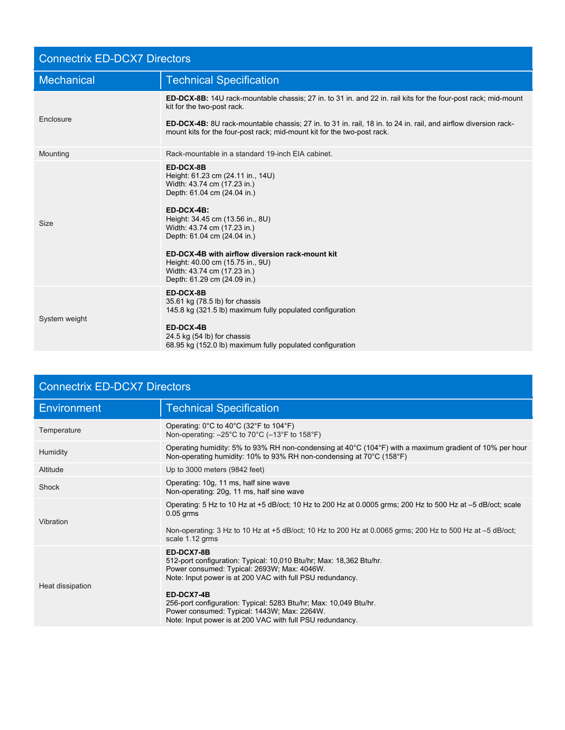| <b>Connectrix ED-DCX7 Directors</b> |                                                                                                                                                                                                                                                                                                                                                                                      |  |
|-------------------------------------|--------------------------------------------------------------------------------------------------------------------------------------------------------------------------------------------------------------------------------------------------------------------------------------------------------------------------------------------------------------------------------------|--|
| <b>Mechanical</b>                   | <b>Technical Specification</b>                                                                                                                                                                                                                                                                                                                                                       |  |
| Enclosure                           | <b>ED-DCX-8B:</b> 14U rack-mountable chassis; 27 in. to 31 in. and 22 in. rail kits for the four-post rack; mid-mount<br>kit for the two-post rack.<br>ED-DCX-4B: 8U rack-mountable chassis; 27 in. to 31 in. rail, 18 in. to 24 in. rail, and airflow diversion rack-<br>mount kits for the four-post rack; mid-mount kit for the two-post rack.                                    |  |
| Mounting                            | Rack-mountable in a standard 19-inch EIA cabinet.                                                                                                                                                                                                                                                                                                                                    |  |
| Size                                | ED-DCX-8B<br>Height: 61.23 cm (24.11 in., 14U)<br>Width: 43.74 cm (17.23 in.)<br>Depth: 61.04 cm (24.04 in.)<br>$ED-DCX-4B$ :<br>Height: 34.45 cm (13.56 in., 8U)<br>Width: 43.74 cm (17.23 in.)<br>Depth: 61.04 cm (24.04 in.)<br>ED-DCX-4B with airflow diversion rack-mount kit<br>Height: 40.00 cm (15.75 in., 9U)<br>Width: 43.74 cm (17.23 in.)<br>Depth: 61.29 cm (24.09 in.) |  |
| System weight                       | ED-DCX-8B<br>35.61 kg (78.5 lb) for chassis<br>145.8 kg (321.5 lb) maximum fully populated configuration<br>ED-DCX-4B<br>24.5 kg (54 lb) for chassis<br>68.95 kg (152.0 lb) maximum fully populated configuration                                                                                                                                                                    |  |

| <b>Connectrix ED-DCX7 Directors</b> |                                                                                                                                                                                                                                                                                                                                                                                              |  |
|-------------------------------------|----------------------------------------------------------------------------------------------------------------------------------------------------------------------------------------------------------------------------------------------------------------------------------------------------------------------------------------------------------------------------------------------|--|
| <b>Environment</b>                  | <b>Technical Specification</b>                                                                                                                                                                                                                                                                                                                                                               |  |
| Temperature                         | Operating: $0^{\circ}$ C to 40 $^{\circ}$ C (32 $^{\circ}$ F to 104 $^{\circ}$ F)<br>Non-operating: -25°C to 70°C (-13°F to 158°F)                                                                                                                                                                                                                                                           |  |
| Humidity                            | Operating humidity: 5% to 93% RH non-condensing at $40^{\circ}$ C (104°F) with a maximum gradient of 10% per hour<br>Non-operating humidity: 10% to 93% RH non-condensing at 70°C (158°F)                                                                                                                                                                                                    |  |
| Altitude                            | Up to 3000 meters (9842 feet)                                                                                                                                                                                                                                                                                                                                                                |  |
| Shock                               | Operating: 10g, 11 ms, half sine wave<br>Non-operating: 20g, 11 ms, half sine wave                                                                                                                                                                                                                                                                                                           |  |
| Vibration                           | Operating: 5 Hz to 10 Hz at +5 dB/oct; 10 Hz to 200 Hz at 0.0005 grms; 200 Hz to 500 Hz at -5 dB/oct; scale<br>$0.05$ grms<br>Non-operating: 3 Hz to 10 Hz at +5 dB/oct; 10 Hz to 200 Hz at 0.0065 grms; 200 Hz to 500 Hz at -5 dB/oct;<br>scale 1.12 grms                                                                                                                                   |  |
| Heat dissipation                    | ED-DCX7-8B<br>512-port configuration: Typical: 10,010 Btu/hr; Max: 18,362 Btu/hr.<br>Power consumed: Typical: 2693W; Max: 4046W.<br>Note: Input power is at 200 VAC with full PSU redundancy.<br>ED-DCX7-4B<br>256-port configuration: Typical: 5283 Btu/hr; Max: 10,049 Btu/hr.<br>Power consumed: Typical: 1443W; Max: 2264W.<br>Note: Input power is at 200 VAC with full PSU redundancy. |  |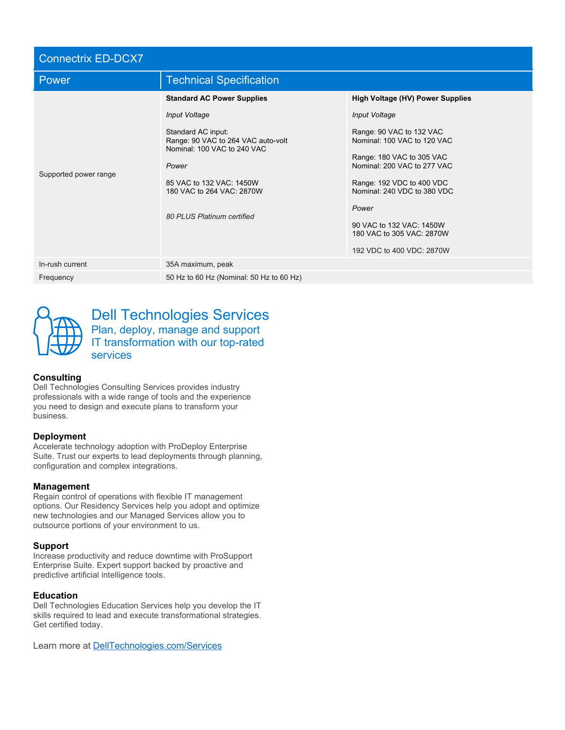| <b>Connectrix ED-DCX7</b> |                                                                                                                                                                                                                                               |                                                                                                                                                                                                                                                                                                               |
|---------------------------|-----------------------------------------------------------------------------------------------------------------------------------------------------------------------------------------------------------------------------------------------|---------------------------------------------------------------------------------------------------------------------------------------------------------------------------------------------------------------------------------------------------------------------------------------------------------------|
| Power                     | <b>Technical Specification</b>                                                                                                                                                                                                                |                                                                                                                                                                                                                                                                                                               |
| Supported power range     | <b>Standard AC Power Supplies</b><br>Input Voltage<br>Standard AC input:<br>Range: 90 VAC to 264 VAC auto-volt<br>Nominal: 100 VAC to 240 VAC<br>Power<br>85 VAC to 132 VAC: 1450W<br>180 VAC to 264 VAC: 2870W<br>80 PLUS Platinum certified | <b>High Voltage (HV) Power Supplies</b><br>Input Voltage<br>Range: 90 VAC to 132 VAC<br>Nominal: 100 VAC to 120 VAC<br>Range: 180 VAC to 305 VAC<br>Nominal: 200 VAC to 277 VAC<br>Range: 192 VDC to 400 VDC<br>Nominal: 240 VDC to 380 VDC<br>Power<br>90 VAC to 132 VAC: 1450W<br>180 VAC to 305 VAC: 2870W |
| In-rush current           | 35A maximum, peak                                                                                                                                                                                                                             | 192 VDC to 400 VDC: 2870W                                                                                                                                                                                                                                                                                     |
| Frequency                 | 50 Hz to 60 Hz (Nominal: 50 Hz to 60 Hz)                                                                                                                                                                                                      |                                                                                                                                                                                                                                                                                                               |



Dell Technologies Services Plan, deploy, manage and support IT transformation with our top-rated services

#### **Consulting**

Dell Technologies Consulting Services provides industry professionals with a wide range of tools and the experience you need to design and execute plans to transform your business.

#### **Deployment**

Accelerate technology adoption with ProDeploy Enterprise Suite. Trust our experts to lead deployments through planning, configuration and complex integrations.

#### **Management**

Regain control of operations with flexible IT management options. Our Residency Services help you adopt and optimize new technologies and our Managed Services allow you to outsource portions of your environment to us.

#### **Support**

Increase productivity and reduce downtime with ProSupport Enterprise Suite. Expert support backed by proactive and predictive artificial intelligence tools.

#### **Education**

Dell Technologies Education Services help you develop the IT skills required to lead and execute transformational strategies. Get certified today.

Learn more at [DellTechnologies.com/Services](http://www.delltechnologies.com/Services)